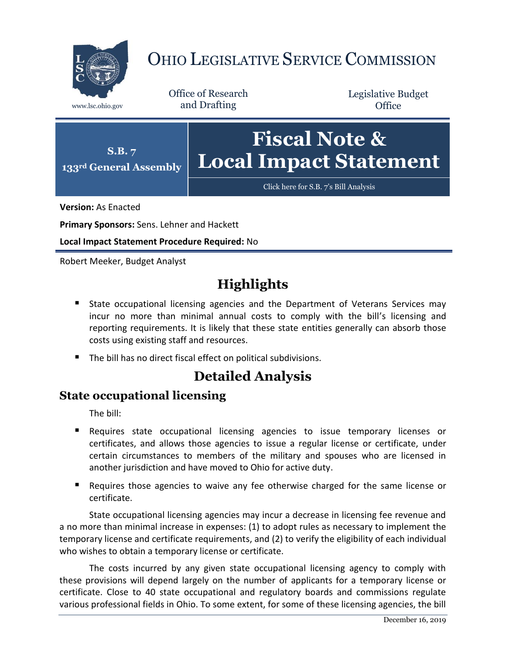

# OHIO LEGISLATIVE SERVICE COMMISSION

Office of Research www.lsc.ohio.gov and Drafting

Legislative Budget **Office** 



**Version:** As Enacted

**Primary Sponsors:** Sens. Lehner and Hackett

**Local Impact Statement Procedure Required:** No

Robert Meeker, Budget Analyst

## **Highlights**

- **State occupational licensing agencies and the Department of Veterans Services may** incur no more than minimal annual costs to comply with the bill's licensing and reporting requirements. It is likely that these state entities generally can absorb those costs using existing staff and resources.
- The bill has no direct fiscal effect on political subdivisions.

### **Detailed Analysis**

#### **State occupational licensing**

The bill:

- Requires state occupational licensing agencies to issue temporary licenses or certificates, and allows those agencies to issue a regular license or certificate, under certain circumstances to members of the military and spouses who are licensed in another jurisdiction and have moved to Ohio for active duty.
- **Requires those agencies to waive any fee otherwise charged for the same license or** certificate.

State occupational licensing agencies may incur a decrease in licensing fee revenue and a no more than minimal increase in expenses: (1) to adopt rules as necessary to implement the temporary license and certificate requirements, and (2) to verify the eligibility of each individual who wishes to obtain a temporary license or certificate.

The costs incurred by any given state occupational licensing agency to comply with these provisions will depend largely on the number of applicants for a temporary license or certificate. Close to 40 state occupational and regulatory boards and commissions regulate various professional fields in Ohio. To some extent, for some of these licensing agencies, the bill